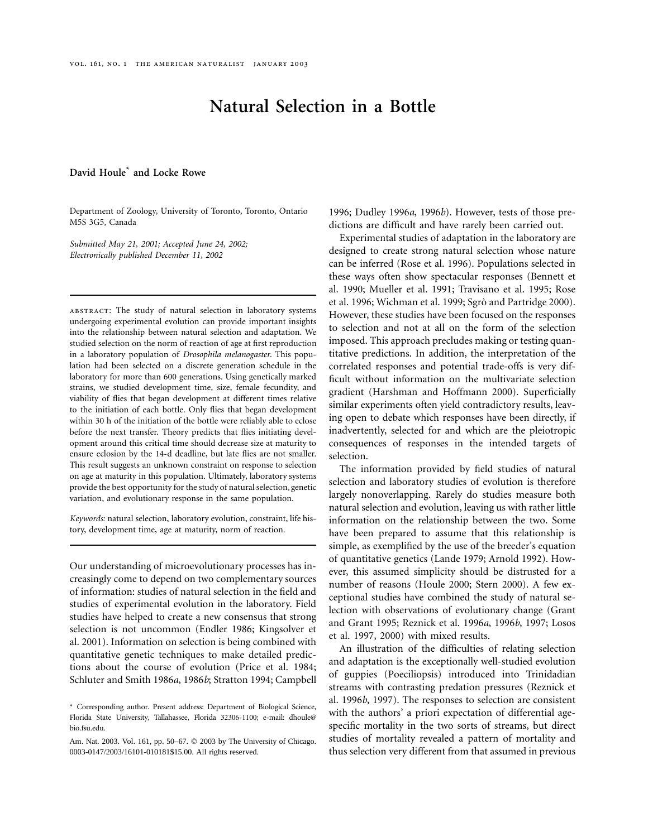# **Natural Selection in a Bottle**

# **David Houle**\* **and Locke Rowe**

Department of Zoology, University of Toronto, Toronto, Ontario M5S 3G5, Canada

*Submitted May 21, 2001; Accepted June 24, 2002; Electronically published December 11, 2002*

abstract: The study of natural selection in laboratory systems undergoing experimental evolution can provide important insights into the relationship between natural selection and adaptation. We studied selection on the norm of reaction of age at first reproduction in a laboratory population of *Drosophila melanogaster*. This population had been selected on a discrete generation schedule in the laboratory for more than 600 generations. Using genetically marked strains, we studied development time, size, female fecundity, and viability of flies that began development at different times relative to the initiation of each bottle. Only flies that began development within 30 h of the initiation of the bottle were reliably able to eclose before the next transfer. Theory predicts that flies initiating development around this critical time should decrease size at maturity to ensure eclosion by the 14-d deadline, but late flies are not smaller. This result suggests an unknown constraint on response to selection on age at maturity in this population. Ultimately, laboratory systems provide the best opportunity for the study of natural selection, genetic variation, and evolutionary response in the same population.

*Keywords:* natural selection, laboratory evolution, constraint, life history, development time, age at maturity, norm of reaction.

Our understanding of microevolutionary processes has increasingly come to depend on two complementary sources of information: studies of natural selection in the field and studies of experimental evolution in the laboratory. Field studies have helped to create a new consensus that strong selection is not uncommon (Endler 1986; Kingsolver et al. 2001). Information on selection is being combined with quantitative genetic techniques to make detailed predictions about the course of evolution (Price et al. 1984; Schluter and Smith 1986*a*, 1986*b*; Stratton 1994; Campbell

1996; Dudley 1996*a*, 1996*b*). However, tests of those predictions are difficult and have rarely been carried out.

Experimental studies of adaptation in the laboratory are designed to create strong natural selection whose nature can be inferred (Rose et al. 1996). Populations selected in these ways often show spectacular responses (Bennett et al. 1990; Mueller et al. 1991; Travisano et al. 1995; Rose et al. 1996; Wichman et al. 1999; Sgrò and Partridge 2000). However, these studies have been focused on the responses to selection and not at all on the form of the selection imposed. This approach precludes making or testing quantitative predictions. In addition, the interpretation of the correlated responses and potential trade-offs is very difficult without information on the multivariate selection gradient (Harshman and Hoffmann 2000). Superficially similar experiments often yield contradictory results, leaving open to debate which responses have been directly, if inadvertently, selected for and which are the pleiotropic consequences of responses in the intended targets of selection.

The information provided by field studies of natural selection and laboratory studies of evolution is therefore largely nonoverlapping. Rarely do studies measure both natural selection and evolution, leaving us with rather little information on the relationship between the two. Some have been prepared to assume that this relationship is simple, as exemplified by the use of the breeder's equation of quantitative genetics (Lande 1979; Arnold 1992). However, this assumed simplicity should be distrusted for a number of reasons (Houle 2000; Stern 2000). A few exceptional studies have combined the study of natural selection with observations of evolutionary change (Grant and Grant 1995; Reznick et al. 1996*a*, 1996*b*, 1997; Losos et al. 1997, 2000) with mixed results.

An illustration of the difficulties of relating selection and adaptation is the exceptionally well-studied evolution of guppies (Poeciliopsis) introduced into Trinidadian streams with contrasting predation pressures (Reznick et al. 1996*b*, 1997). The responses to selection are consistent with the authors' a priori expectation of differential agespecific mortality in the two sorts of streams, but direct studies of mortality revealed a pattern of mortality and thus selection very different from that assumed in previous

<sup>\*</sup> Corresponding author. Present address: Department of Biological Science, Florida State University, Tallahassee, Florida 32306-1100; e-mail: dhoule@ bio.fsu.edu.

Am. Nat. 2003. Vol. 161, pp. 50-67.  $\oslash$  2003 by The University of Chicago. 0003-0147/2003/16101-010181\$15.00. All rights reserved.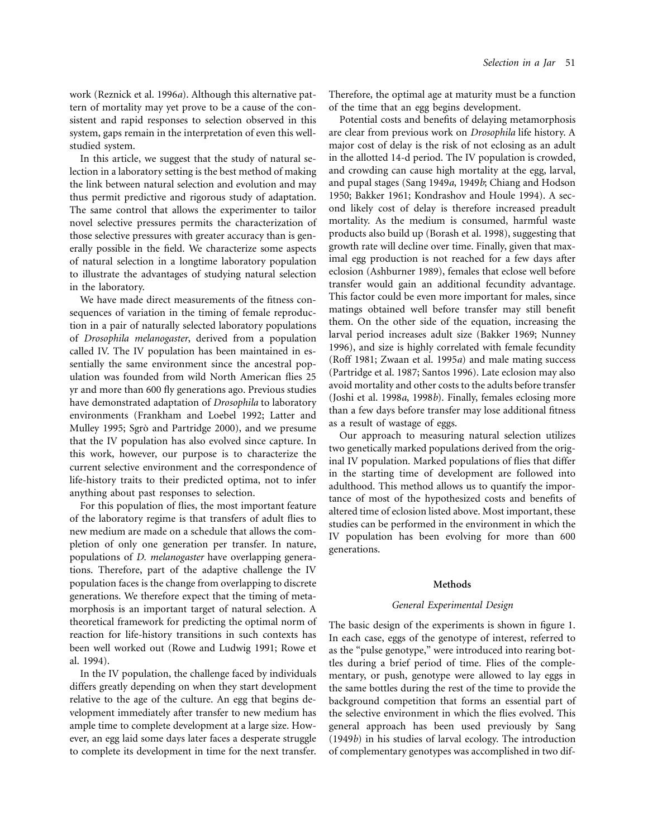work (Reznick et al. 1996*a*). Although this alternative pattern of mortality may yet prove to be a cause of the consistent and rapid responses to selection observed in this system, gaps remain in the interpretation of even this wellstudied system.

In this article, we suggest that the study of natural selection in a laboratory setting is the best method of making the link between natural selection and evolution and may thus permit predictive and rigorous study of adaptation. The same control that allows the experimenter to tailor novel selective pressures permits the characterization of those selective pressures with greater accuracy than is generally possible in the field. We characterize some aspects of natural selection in a longtime laboratory population to illustrate the advantages of studying natural selection in the laboratory.

We have made direct measurements of the fitness consequences of variation in the timing of female reproduction in a pair of naturally selected laboratory populations of *Drosophila melanogaster*, derived from a population called IV. The IV population has been maintained in essentially the same environment since the ancestral population was founded from wild North American flies 25 yr and more than 600 fly generations ago. Previous studies have demonstrated adaptation of *Drosophila* to laboratory environments (Frankham and Loebel 1992; Latter and Mulley 1995; Sgrò and Partridge 2000), and we presume that the IV population has also evolved since capture. In this work, however, our purpose is to characterize the current selective environment and the correspondence of life-history traits to their predicted optima, not to infer anything about past responses to selection.

For this population of flies, the most important feature of the laboratory regime is that transfers of adult flies to new medium are made on a schedule that allows the completion of only one generation per transfer. In nature, populations of *D. melanogaster* have overlapping generations. Therefore, part of the adaptive challenge the IV population faces is the change from overlapping to discrete generations. We therefore expect that the timing of metamorphosis is an important target of natural selection. A theoretical framework for predicting the optimal norm of reaction for life-history transitions in such contexts has been well worked out (Rowe and Ludwig 1991; Rowe et al. 1994).

In the IV population, the challenge faced by individuals differs greatly depending on when they start development relative to the age of the culture. An egg that begins development immediately after transfer to new medium has ample time to complete development at a large size. However, an egg laid some days later faces a desperate struggle to complete its development in time for the next transfer.

Therefore, the optimal age at maturity must be a function of the time that an egg begins development.

Potential costs and benefits of delaying metamorphosis are clear from previous work on *Drosophila* life history. A major cost of delay is the risk of not eclosing as an adult in the allotted 14-d period. The IV population is crowded, and crowding can cause high mortality at the egg, larval, and pupal stages (Sang 1949*a*, 1949*b*; Chiang and Hodson 1950; Bakker 1961; Kondrashov and Houle 1994). A second likely cost of delay is therefore increased preadult mortality. As the medium is consumed, harmful waste products also build up (Borash et al. 1998), suggesting that growth rate will decline over time. Finally, given that maximal egg production is not reached for a few days after eclosion (Ashburner 1989), females that eclose well before transfer would gain an additional fecundity advantage. This factor could be even more important for males, since matings obtained well before transfer may still benefit them. On the other side of the equation, increasing the larval period increases adult size (Bakker 1969; Nunney 1996), and size is highly correlated with female fecundity (Roff 1981; Zwaan et al. 1995*a*) and male mating success (Partridge et al. 1987; Santos 1996). Late eclosion may also avoid mortality and other costs to the adults before transfer (Joshi et al. 1998*a*, 1998*b*). Finally, females eclosing more than a few days before transfer may lose additional fitness as a result of wastage of eggs.

Our approach to measuring natural selection utilizes two genetically marked populations derived from the original IV population. Marked populations of flies that differ in the starting time of development are followed into adulthood. This method allows us to quantify the importance of most of the hypothesized costs and benefits of altered time of eclosion listed above. Most important, these studies can be performed in the environment in which the IV population has been evolving for more than 600 generations.

## **Methods**

#### *General Experimental Design*

The basic design of the experiments is shown in figure 1. In each case, eggs of the genotype of interest, referred to as the "pulse genotype," were introduced into rearing bottles during a brief period of time. Flies of the complementary, or push, genotype were allowed to lay eggs in the same bottles during the rest of the time to provide the background competition that forms an essential part of the selective environment in which the flies evolved. This general approach has been used previously by Sang (1949*b*) in his studies of larval ecology. The introduction of complementary genotypes was accomplished in two dif-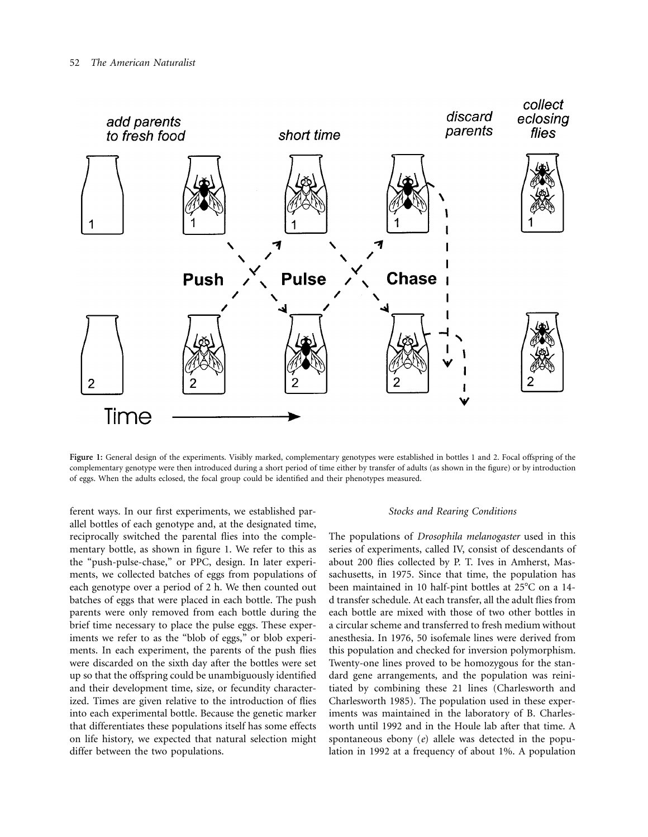

**Figure 1:** General design of the experiments. Visibly marked, complementary genotypes were established in bottles 1 and 2. Focal offspring of the complementary genotype were then introduced during a short period of time either by transfer of adults (as shown in the figure) or by introduction of eggs. When the adults eclosed, the focal group could be identified and their phenotypes measured.

ferent ways. In our first experiments, we established parallel bottles of each genotype and, at the designated time, reciprocally switched the parental flies into the complementary bottle, as shown in figure 1. We refer to this as the "push-pulse-chase," or PPC, design. In later experiments, we collected batches of eggs from populations of each genotype over a period of 2 h. We then counted out batches of eggs that were placed in each bottle. The push parents were only removed from each bottle during the brief time necessary to place the pulse eggs. These experiments we refer to as the "blob of eggs," or blob experiments. In each experiment, the parents of the push flies were discarded on the sixth day after the bottles were set up so that the offspring could be unambiguously identified and their development time, size, or fecundity characterized. Times are given relative to the introduction of flies into each experimental bottle. Because the genetic marker that differentiates these populations itself has some effects on life history, we expected that natural selection might differ between the two populations.

#### *Stocks and Rearing Conditions*

The populations of *Drosophila melanogaster* used in this series of experiments, called IV, consist of descendants of about 200 flies collected by P. T. Ives in Amherst, Massachusetts, in 1975. Since that time, the population has been maintained in 10 half-pint bottles at 25°C on a 14d transfer schedule. At each transfer, all the adult flies from each bottle are mixed with those of two other bottles in a circular scheme and transferred to fresh medium without anesthesia. In 1976, 50 isofemale lines were derived from this population and checked for inversion polymorphism. Twenty-one lines proved to be homozygous for the standard gene arrangements, and the population was reinitiated by combining these 21 lines (Charlesworth and Charlesworth 1985). The population used in these experiments was maintained in the laboratory of B. Charlesworth until 1992 and in the Houle lab after that time. A spontaneous ebony (*e*) allele was detected in the population in 1992 at a frequency of about 1%. A population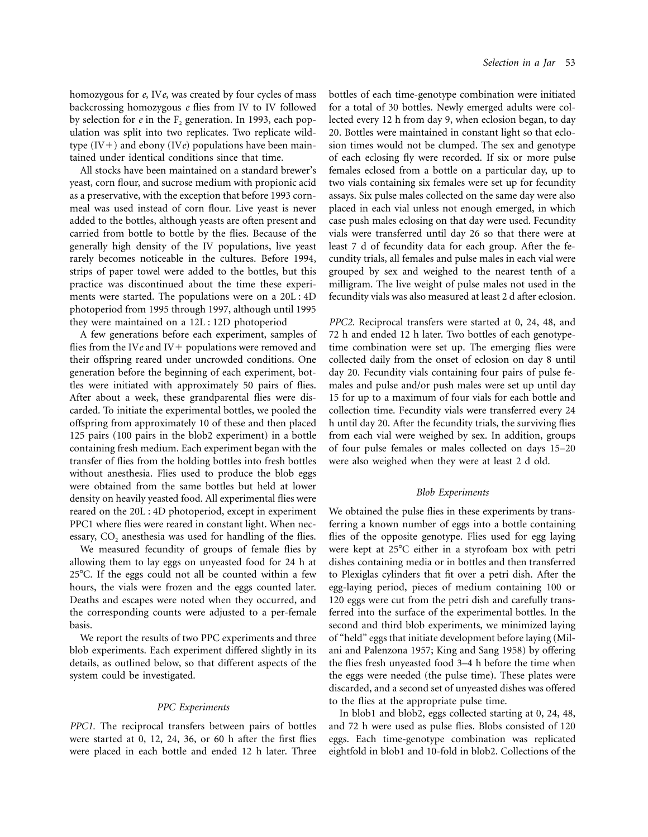homozygous for *e*, IV*e*, was created by four cycles of mass backcrossing homozygous *e* flies from IV to IV followed by selection for *e* in the F<sub>2</sub> generation. In 1993, each population was split into two replicates. Two replicate wildtype  $(IV+)$  and ebony  $(IVe)$  populations have been maintained under identical conditions since that time.

All stocks have been maintained on a standard brewer's yeast, corn flour, and sucrose medium with propionic acid as a preservative, with the exception that before 1993 cornmeal was used instead of corn flour. Live yeast is never added to the bottles, although yeasts are often present and carried from bottle to bottle by the flies. Because of the generally high density of the IV populations, live yeast rarely becomes noticeable in the cultures. Before 1994, strips of paper towel were added to the bottles, but this practice was discontinued about the time these experiments were started. The populations were on a 20L : 4D photoperiod from 1995 through 1997, although until 1995 they were maintained on a 12L : 12D photoperiod

A few generations before each experiment, samples of flies from the IVe and IV + populations were removed and their offspring reared under uncrowded conditions. One generation before the beginning of each experiment, bottles were initiated with approximately 50 pairs of flies. After about a week, these grandparental flies were discarded. To initiate the experimental bottles, we pooled the offspring from approximately 10 of these and then placed 125 pairs (100 pairs in the blob2 experiment) in a bottle containing fresh medium. Each experiment began with the transfer of flies from the holding bottles into fresh bottles without anesthesia. Flies used to produce the blob eggs were obtained from the same bottles but held at lower density on heavily yeasted food. All experimental flies were reared on the 20L : 4D photoperiod, except in experiment PPC1 where flies were reared in constant light. When necessary, CO<sub>2</sub> anesthesia was used for handling of the flies.

We measured fecundity of groups of female flies by allowing them to lay eggs on unyeasted food for 24 h at 25°C. If the eggs could not all be counted within a few hours, the vials were frozen and the eggs counted later. Deaths and escapes were noted when they occurred, and the corresponding counts were adjusted to a per-female basis.

We report the results of two PPC experiments and three blob experiments. Each experiment differed slightly in its details, as outlined below, so that different aspects of the system could be investigated.

#### *PPC Experiments*

*PPC1.* The reciprocal transfers between pairs of bottles were started at 0, 12, 24, 36, or 60 h after the first flies were placed in each bottle and ended 12 h later. Three

bottles of each time-genotype combination were initiated for a total of 30 bottles. Newly emerged adults were collected every 12 h from day 9, when eclosion began, to day 20. Bottles were maintained in constant light so that eclosion times would not be clumped. The sex and genotype of each eclosing fly were recorded. If six or more pulse females eclosed from a bottle on a particular day, up to two vials containing six females were set up for fecundity assays. Six pulse males collected on the same day were also placed in each vial unless not enough emerged, in which case push males eclosing on that day were used. Fecundity vials were transferred until day 26 so that there were at least 7 d of fecundity data for each group. After the fecundity trials, all females and pulse males in each vial were grouped by sex and weighed to the nearest tenth of a milligram. The live weight of pulse males not used in the fecundity vials was also measured at least 2 d after eclosion.

*PPC2.* Reciprocal transfers were started at 0, 24, 48, and 72 h and ended 12 h later. Two bottles of each genotypetime combination were set up. The emerging flies were collected daily from the onset of eclosion on day 8 until day 20. Fecundity vials containing four pairs of pulse females and pulse and/or push males were set up until day 15 for up to a maximum of four vials for each bottle and collection time. Fecundity vials were transferred every 24 h until day 20. After the fecundity trials, the surviving flies from each vial were weighed by sex. In addition, groups of four pulse females or males collected on days 15–20 were also weighed when they were at least 2 d old.

## *Blob Experiments*

We obtained the pulse flies in these experiments by transferring a known number of eggs into a bottle containing flies of the opposite genotype. Flies used for egg laying were kept at 25°C either in a styrofoam box with petri dishes containing media or in bottles and then transferred to Plexiglas cylinders that fit over a petri dish. After the egg-laying period, pieces of medium containing 100 or 120 eggs were cut from the petri dish and carefully transferred into the surface of the experimental bottles. In the second and third blob experiments, we minimized laying of "held" eggs that initiate development before laying (Milani and Palenzona 1957; King and Sang 1958) by offering the flies fresh unyeasted food 3–4 h before the time when the eggs were needed (the pulse time). These plates were discarded, and a second set of unyeasted dishes was offered to the flies at the appropriate pulse time.

In blob1 and blob2, eggs collected starting at 0, 24, 48, and 72 h were used as pulse flies. Blobs consisted of 120 eggs. Each time-genotype combination was replicated eightfold in blob1 and 10-fold in blob2. Collections of the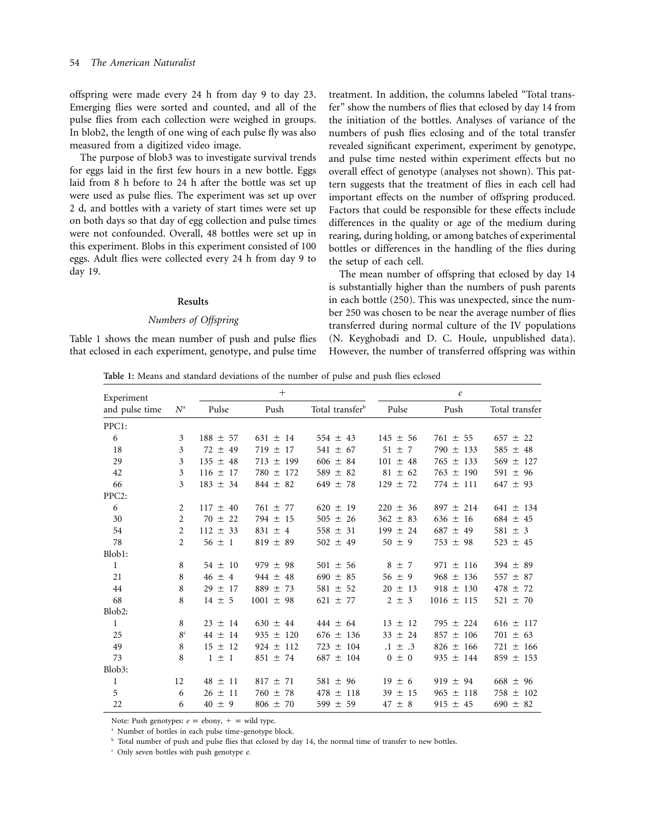offspring were made every 24 h from day 9 to day 23. Emerging flies were sorted and counted, and all of the pulse flies from each collection were weighed in groups. In blob2, the length of one wing of each pulse fly was also measured from a digitized video image.

The purpose of blob3 was to investigate survival trends for eggs laid in the first few hours in a new bottle. Eggs laid from 8 h before to 24 h after the bottle was set up were used as pulse flies. The experiment was set up over 2 d, and bottles with a variety of start times were set up on both days so that day of egg collection and pulse times were not confounded. Overall, 48 bottles were set up in this experiment. Blobs in this experiment consisted of 100 eggs. Adult flies were collected every 24 h from day 9 to day 19.

## **Results**

# *Numbers of Offspring*

Table 1 shows the mean number of push and pulse flies that eclosed in each experiment, genotype, and pulse time

treatment. In addition, the columns labeled "Total transfer" show the numbers of flies that eclosed by day 14 from the initiation of the bottles. Analyses of variance of the numbers of push flies eclosing and of the total transfer revealed significant experiment, experiment by genotype, and pulse time nested within experiment effects but no overall effect of genotype (analyses not shown). This pattern suggests that the treatment of flies in each cell had important effects on the number of offspring produced. Factors that could be responsible for these effects include differences in the quality or age of the medium during rearing, during holding, or among batches of experimental bottles or differences in the handling of the flies during the setup of each cell.

The mean number of offspring that eclosed by day 14 is substantially higher than the numbers of push parents in each bottle (250). This was unexpected, since the number 250 was chosen to be near the average number of flies transferred during normal culture of the IV populations (N. Keyghobadi and D. C. Houle, unpublished data). However, the number of transferred offspring was within

**Table 1:** Means and standard deviations of the number of pulse and push flies eclosed

| Experiment     |                |              | $^{+}$        |                             | e            |                |                |  |
|----------------|----------------|--------------|---------------|-----------------------------|--------------|----------------|----------------|--|
| and pulse time | $N^{\rm a}$    | Pulse        | Push          | Total transfer <sup>b</sup> | Pulse        | Push           | Total transfer |  |
| PPC1:          |                |              |               |                             |              |                |                |  |
| 6              | 3              | $188 \pm 57$ | $631 \pm 14$  | $554 \pm 43$                | $145 \pm 56$ | $761 \pm 55$   | $657 \pm 22$   |  |
| 18             | 3              | $72 \pm 49$  | $719 \pm 17$  | $541 \pm 67$                | $51 \pm 7$   | $790 \pm 133$  | 585 $\pm$ 48   |  |
| 29             | 3              | $135 \pm 48$ | $713 \pm 199$ | $606 \pm 84$                | $101 \pm 48$ | $765 \pm 133$  | $569 \pm 127$  |  |
| 42             | 3              | $116 \pm 17$ | $780 \pm 172$ | 589 $\pm$ 82                | $81 \pm 62$  | $763 \pm 190$  | 591 $\pm$ 96   |  |
| 66             | 3              | $183 \pm 34$ | $844 \pm 82$  | 649 $\pm$ 78                | $129 \pm 72$ | $774 \pm 111$  | $647 \pm 93$   |  |
| PPC2:          |                |              |               |                             |              |                |                |  |
| 6              | 2              | $117 \pm 40$ | $761 \pm 77$  | $620 \pm 19$                | $220 \pm 36$ | $897 \pm 214$  | $641 \pm 134$  |  |
| 30             | $\overline{2}$ | $70 \pm 22$  | $794 \pm 15$  | $505 \pm 26$                | $362 \pm 83$ | $636 \pm 16$   | $684 \pm 45$   |  |
| 54             | 2              | $112 \pm 33$ | $831 \pm 4$   | $558 \pm 31$                | $199 \pm 24$ | $687 \pm 49$   | $581 \pm 3$    |  |
| 78             | 2              | $56 \pm 1$   | $819 \pm 89$  | $502 \pm 49$                | $50 \pm 9$   | $753 \pm 98$   | $523 \pm 45$   |  |
| Blob1:         |                |              |               |                             |              |                |                |  |
| 1              | 8              | $54 \pm 10$  | $979 \pm 98$  | $501 \pm 56$                | $8 \pm 7$    | $971 \pm 116$  | $394 \pm 89$   |  |
| 21             | 8              | $46 \pm 4$   | $944 \pm 48$  | $690 \pm 85$                | $56 \pm 9$   | $968 \pm 136$  | 557 $\pm$ 87   |  |
| 44             | 8              | $29 \pm 17$  | $889 \pm 73$  | $581 \pm 52$                | $20 \pm 13$  | $918 \pm 130$  | $478 \pm 72$   |  |
| 68             | 8              | $14 \pm 5$   | $1001 \pm 98$ | $621 \pm 77$                | $2 \pm 3$    | $1016 \pm 115$ | $521 \pm 70$   |  |
| Blob2:         |                |              |               |                             |              |                |                |  |
| 1              | 8              | $23 \pm 14$  | $630 \pm 44$  | $444 \pm 64$                | $13 \pm 12$  | $795 \pm 224$  | $616 \pm 117$  |  |
| 25             | 8 <sup>c</sup> | $44 \pm 14$  | $935 \pm 120$ | $676 \pm 136$               | $33 \pm 24$  | $857 \pm 106$  | $701 \pm 63$   |  |
| 49             | 8              | $15 \pm 12$  | $924 \pm 112$ | $723 \pm 104$               | $.1 \pm .3$  | $826 \pm 166$  | $721 \pm 166$  |  |
| 73             | 8              | $1 \pm 1$    | $851 \pm 74$  | $687 \pm 104$               | $0 \pm 0$    | $935 \pm 144$  | $859 \pm 153$  |  |
| Blob3:         |                |              |               |                             |              |                |                |  |
| 1              | 12             | $48 \pm 11$  | $817 \pm 71$  | $581 \pm 96$                | $19 \pm 6$   | $919 \pm 94$   | $668 \pm 96$   |  |
| 5              | 6              | $26 \pm 11$  | $760 \pm 78$  | $478 \pm 118$               | $39 \pm 15$  | $965 \pm 118$  | $758 \pm 102$  |  |
| 22             | 6              | $40 \pm 9$   | $806 \pm 70$  | 599 $\pm$ 59                | $47 \pm 8$   | $915 \pm 45$   | 690 $\pm$ 82   |  |

Note: Push genotypes:  $e =$  ebony,  $+$  = wild type.

<sup>a</sup> Number of bottles in each pulse time-genotype block.

<sup>b</sup> Total number of push and pulse flies that eclosed by day 14, the normal time of transfer to new bottles.

<sup>c</sup> Only seven bottles with push genotype *e*.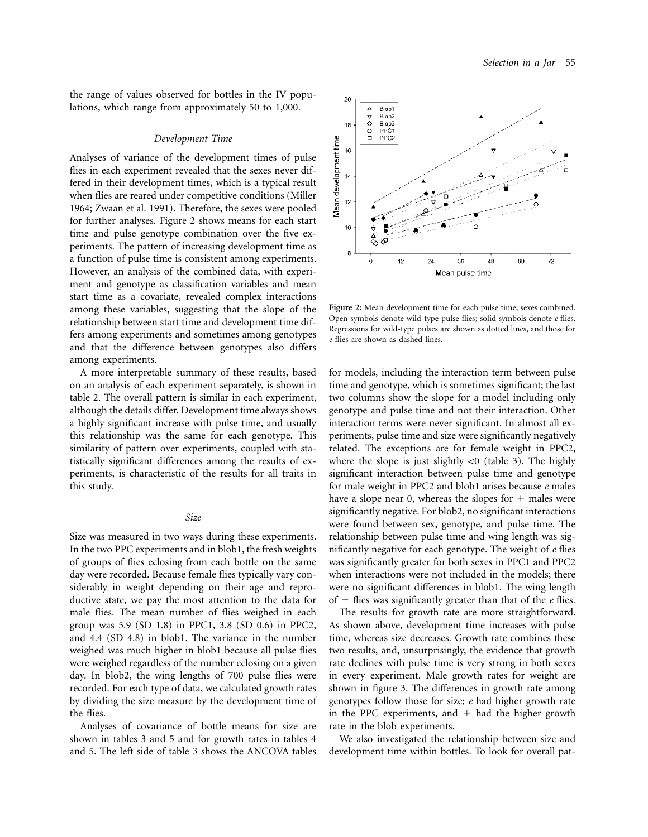the range of values observed for bottles in the IV populations, which range from approximately 50 to 1,000.

## *Development Time*

Analyses of variance of the development times of pulse flies in each experiment revealed that the sexes never differed in their development times, which is a typical result when flies are reared under competitive conditions (Miller 1964; Zwaan et al. 1991). Therefore, the sexes were pooled for further analyses. Figure 2 shows means for each start time and pulse genotype combination over the five experiments. The pattern of increasing development time as a function of pulse time is consistent among experiments. However, an analysis of the combined data, with experiment and genotype as classification variables and mean start time as a covariate, revealed complex interactions among these variables, suggesting that the slope of the relationship between start time and development time differs among experiments and sometimes among genotypes and that the difference between genotypes also differs among experiments.

A more interpretable summary of these results, based on an analysis of each experiment separately, is shown in table 2. The overall pattern is similar in each experiment, although the details differ. Development time always shows a highly significant increase with pulse time, and usually this relationship was the same for each genotype. This similarity of pattern over experiments, coupled with statistically significant differences among the results of experiments, is characteristic of the results for all traits in this study.

## *Size*

Size was measured in two ways during these experiments. In the two PPC experiments and in blob1, the fresh weights of groups of flies eclosing from each bottle on the same day were recorded. Because female flies typically vary considerably in weight depending on their age and reproductive state, we pay the most attention to the data for male flies. The mean number of flies weighed in each group was 5.9 (SD 1.8) in PPC1, 3.8 (SD 0.6) in PPC2, and 4.4 (SD 4.8) in blob1. The variance in the number weighed was much higher in blob1 because all pulse flies were weighed regardless of the number eclosing on a given day. In blob2, the wing lengths of 700 pulse flies were recorded. For each type of data, we calculated growth rates by dividing the size measure by the development time of the flies.

Analyses of covariance of bottle means for size are shown in tables 3 and 5 and for growth rates in tables 4 and 5. The left side of table 3 shows the ANCOVA tables



**Figure 2:** Mean development time for each pulse time, sexes combined. Open symbols denote wild-type pulse flies; solid symbols denote *e* flies. Regressions for wild-type pulses are shown as dotted lines, and those for *e* flies are shown as dashed lines.

for models, including the interaction term between pulse time and genotype, which is sometimes significant; the last two columns show the slope for a model including only genotype and pulse time and not their interaction. Other interaction terms were never significant. In almost all experiments, pulse time and size were significantly negatively related. The exceptions are for female weight in PPC2, where the slope is just slightly  $\langle 0 \rangle$  (table 3). The highly significant interaction between pulse time and genotype for male weight in PPC2 and blob1 arises because *e* males have a slope near 0, whereas the slopes for  $+$  males were significantly negative. For blob2, no significant interactions were found between sex, genotype, and pulse time. The relationship between pulse time and wing length was significantly negative for each genotype. The weight of *e* flies was significantly greater for both sexes in PPC1 and PPC2 when interactions were not included in the models; there were no significant differences in blob1. The wing length of  $f$  flies was significantly greater than that of the  $e$  flies.

The results for growth rate are more straightforward. As shown above, development time increases with pulse time, whereas size decreases. Growth rate combines these two results, and, unsurprisingly, the evidence that growth rate declines with pulse time is very strong in both sexes in every experiment. Male growth rates for weight are shown in figure 3. The differences in growth rate among genotypes follow those for size; *e* had higher growth rate in the PPC experiments, and  $+$  had the higher growth rate in the blob experiments.

We also investigated the relationship between size and development time within bottles. To look for overall pat-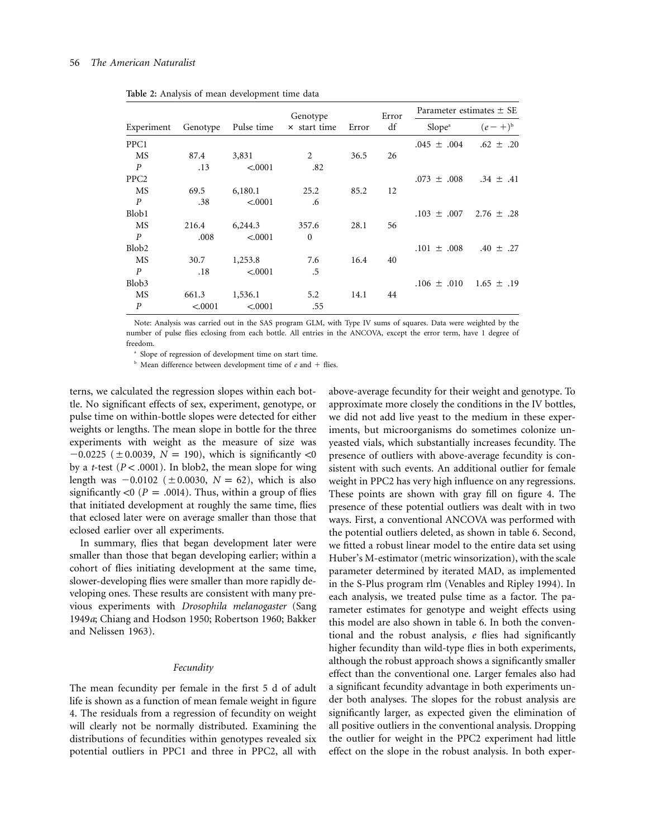|                   |          |            |              |       |       |                    | Parameter estimates $\pm$ SE |  |
|-------------------|----------|------------|--------------|-------|-------|--------------------|------------------------------|--|
|                   |          |            | Genotype     |       | Error |                    |                              |  |
| Experiment        | Genotype | Pulse time | × start time | Error | df    | Slope <sup>a</sup> | $(e - 1)^b$                  |  |
| PPC1              |          |            |              |       |       | $.045 \pm .004$    | $.62 \pm .20$                |  |
| <b>MS</b>         | 87.4     | 3,831      | 2            | 36.5  | 26    |                    |                              |  |
| $\boldsymbol{P}$  | .13      | < .0001    | .82          |       |       |                    |                              |  |
| PPC <sub>2</sub>  |          |            |              |       |       | $.073 \pm .008$    | $.34 \pm .41$                |  |
| <b>MS</b>         | 69.5     | 6,180.1    | 25.2         | 85.2  | 12    |                    |                              |  |
| $\boldsymbol{P}$  | .38      | < .0001    | .6           |       |       |                    |                              |  |
| Blob1             |          |            |              |       |       | $.103 \pm .007$    | $2.76 \pm .28$               |  |
| <b>MS</b>         | 216.4    | 6,244.3    | 357.6        | 28.1  | 56    |                    |                              |  |
| $\boldsymbol{P}$  | .008     | < .0001    | $\mathbf{0}$ |       |       |                    |                              |  |
| Blob <sub>2</sub> |          |            |              |       |       | $.101 \pm .008$    | $.40 \pm .27$                |  |
| <b>MS</b>         | 30.7     | 1,253.8    | 7.6          | 16.4  | 40    |                    |                              |  |
| $\boldsymbol{P}$  | .18      | < .0001    | .5           |       |       |                    |                              |  |
| Blob3             |          |            |              |       |       | $.106 \pm .010$    | $1.65 \pm .19$               |  |
| <b>MS</b>         | 661.3    | 1,536.1    | 5.2          | 14.1  | 44    |                    |                              |  |
| $\boldsymbol{P}$  | < .0001  | < .0001    | .55          |       |       |                    |                              |  |
|                   |          |            |              |       |       |                    |                              |  |

**Table 2:** Analysis of mean development time data

Note: Analysis was carried out in the SAS program GLM, with Type IV sums of squares. Data were weighted by the number of pulse flies eclosing from each bottle. All entries in the ANCOVA, except the error term, have 1 degree of freedom.

<sup>a</sup> Slope of regression of development time on start time.

 $<sup>b</sup>$  Mean difference between development time of  $e$  and  $+$  flies.</sup>

terns, we calculated the regression slopes within each bottle. No significant effects of sex, experiment, genotype, or pulse time on within-bottle slopes were detected for either weights or lengths. The mean slope in bottle for the three experiments with weight as the measure of size was  $-0.0225$  ( $\pm 0.0039$ ,  $N = 190$ ), which is significantly <0 by a *t*-test ( $P < .0001$ ). In blob2, the mean slope for wing length was  $-0.0102$  ( $\pm 0.0030$ ,  $N = 62$ ), which is also significantly  $\langle 0 | P = .0014 \rangle$ . Thus, within a group of flies that initiated development at roughly the same time, flies that eclosed later were on average smaller than those that eclosed earlier over all experiments.

In summary, flies that began development later were smaller than those that began developing earlier; within a cohort of flies initiating development at the same time, slower-developing flies were smaller than more rapidly developing ones. These results are consistent with many previous experiments with *Drosophila melanogaster* (Sang 1949*a*; Chiang and Hodson 1950; Robertson 1960; Bakker and Nelissen 1963).

#### *Fecundity*

The mean fecundity per female in the first 5 d of adult life is shown as a function of mean female weight in figure 4. The residuals from a regression of fecundity on weight will clearly not be normally distributed. Examining the distributions of fecundities within genotypes revealed six potential outliers in PPC1 and three in PPC2, all with

above-average fecundity for their weight and genotype. To approximate more closely the conditions in the IV bottles, we did not add live yeast to the medium in these experiments, but microorganisms do sometimes colonize unyeasted vials, which substantially increases fecundity. The presence of outliers with above-average fecundity is consistent with such events. An additional outlier for female weight in PPC2 has very high influence on any regressions. These points are shown with gray fill on figure 4. The presence of these potential outliers was dealt with in two ways. First, a conventional ANCOVA was performed with the potential outliers deleted, as shown in table 6. Second, we fitted a robust linear model to the entire data set using Huber's M-estimator (metric winsorization), with the scale parameter determined by iterated MAD, as implemented in the S-Plus program rlm (Venables and Ripley 1994). In each analysis, we treated pulse time as a factor. The parameter estimates for genotype and weight effects using this model are also shown in table 6. In both the conventional and the robust analysis, *e* flies had significantly higher fecundity than wild-type flies in both experiments, although the robust approach shows a significantly smaller effect than the conventional one. Larger females also had a significant fecundity advantage in both experiments under both analyses. The slopes for the robust analysis are significantly larger, as expected given the elimination of all positive outliers in the conventional analysis. Dropping the outlier for weight in the PPC2 experiment had little effect on the slope in the robust analysis. In both exper-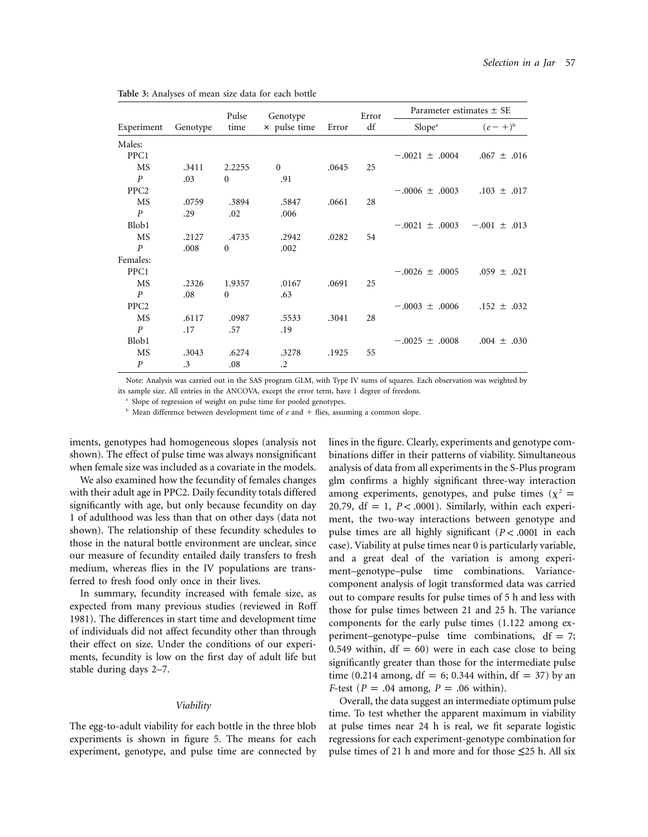|                  |                      | Pulse        | Genotype     |       | Error | Parameter estimates $\pm$ SE |                  |
|------------------|----------------------|--------------|--------------|-------|-------|------------------------------|------------------|
| Experiment       | Genotype             | time         | × pulse time | Error | df    | Slope <sup>a</sup>           | $(e - 1)^b$      |
| Males:           |                      |              |              |       |       |                              |                  |
| PPC1             |                      |              |              |       |       | $-.0021 \pm .0004$           | $.067 \pm .016$  |
| <b>MS</b>        | .3411                | 2.2255       | $\mathbf{0}$ | .0645 | 25    |                              |                  |
| $\boldsymbol{P}$ | .03                  | $\mathbf{0}$ | .91          |       |       |                              |                  |
| PPC <sub>2</sub> |                      |              |              |       |       | $-.0006 \pm .0003$           | $.103 \pm .017$  |
| MS               | .0759                | .3894        | .5847        | .0661 | 28    |                              |                  |
| $\boldsymbol{P}$ | .29                  | .02          | .006         |       |       |                              |                  |
| Blob1            |                      |              |              |       |       | $-.0021 \pm .0003$           | $-.001 \pm .013$ |
| <b>MS</b>        | .2127                | .4735        | .2942        | .0282 | 54    |                              |                  |
| $\boldsymbol{P}$ | .008                 | $\mathbf{0}$ | .002         |       |       |                              |                  |
| Females:         |                      |              |              |       |       |                              |                  |
| PPC1             |                      |              |              |       |       | $-.0026 \pm .0005$           | $.059 \pm .021$  |
| <b>MS</b>        | .2326                | 1.9357       | .0167        | .0691 | 25    |                              |                  |
| $\boldsymbol{P}$ | .08                  | $\Omega$     | .63          |       |       |                              |                  |
| PPC <sub>2</sub> |                      |              |              |       |       | $-.0003 \pm .0006$           | $.152 \pm .032$  |
| <b>MS</b>        | .6117                | .0987        | .5533        | .3041 | 28    |                              |                  |
| $\boldsymbol{P}$ | .17                  | .57          | .19          |       |       |                              |                  |
| Blob1            |                      |              |              |       |       | $-.0025 \pm .0008$           | $.004 \pm .030$  |
| MS               | .3043                | .6274        | .3278        | .1925 | 55    |                              |                  |
| $\boldsymbol{P}$ | $\cdot$ <sup>3</sup> | .08          | $\cdot$ 2    |       |       |                              |                  |

**Table 3:** Analyses of mean size data for each bottle

Note: Analysis was carried out in the SAS program GLM, with Type IV sums of squares. Each observation was weighted by its sample size. All entries in the ANCOVA, except the error term, have 1 degree of freedom.

<sup>a</sup> Slope of regression of weight on pulse time for pooled genotypes.

 $<sup>b</sup>$  Mean difference between development time of  $e$  and  $+$  flies, assuming a common slope.</sup>

iments, genotypes had homogeneous slopes (analysis not shown). The effect of pulse time was always nonsignificant when female size was included as a covariate in the models.

We also examined how the fecundity of females changes with their adult age in PPC2. Daily fecundity totals differed significantly with age, but only because fecundity on day 1 of adulthood was less than that on other days (data not shown). The relationship of these fecundity schedules to those in the natural bottle environment are unclear, since our measure of fecundity entailed daily transfers to fresh medium, whereas flies in the IV populations are transferred to fresh food only once in their lives.

In summary, fecundity increased with female size, as expected from many previous studies (reviewed in Roff 1981). The differences in start time and development time of individuals did not affect fecundity other than through their effect on size. Under the conditions of our experiments, fecundity is low on the first day of adult life but stable during days 2–7.

#### *Viability*

The egg-to-adult viability for each bottle in the three blob experiments is shown in figure 5. The means for each experiment, genotype, and pulse time are connected by lines in the figure. Clearly, experiments and genotype combinations differ in their patterns of viability. Simultaneous analysis of data from all experiments in the S-Plus program glm confirms a highly significant three-way interaction among experiments, genotypes, and pulse times ( $\chi^2$  = 20.79,  $df = 1$ ,  $P < .0001$ ). Similarly, within each experiment, the two-way interactions between genotype and pulse times are all highly significant  $(P < .0001$  in each case). Viability at pulse times near 0 is particularly variable, and a great deal of the variation is among experiment–genotype–pulse time combinations. Variancecomponent analysis of logit transformed data was carried out to compare results for pulse times of 5 h and less with those for pulse times between 21 and 25 h. The variance components for the early pulse times (1.122 among experiment–genotype–pulse time combinations,  $df = 7$ ; 0.549 within,  $df = 60$ ) were in each case close to being significantly greater than those for the intermediate pulse time (0.214 among,  $df = 6$ ; 0.344 within,  $df = 37$ ) by an *F*-test ( $P = .04$  *among,*  $P = .06$  within).

Overall, the data suggest an intermediate optimum pulse time. To test whether the apparent maximum in viability at pulse times near 24 h is real, we fit separate logistic regressions for each experiment-genotype combination for pulse times of 21 h and more and for those ≤25 h. All six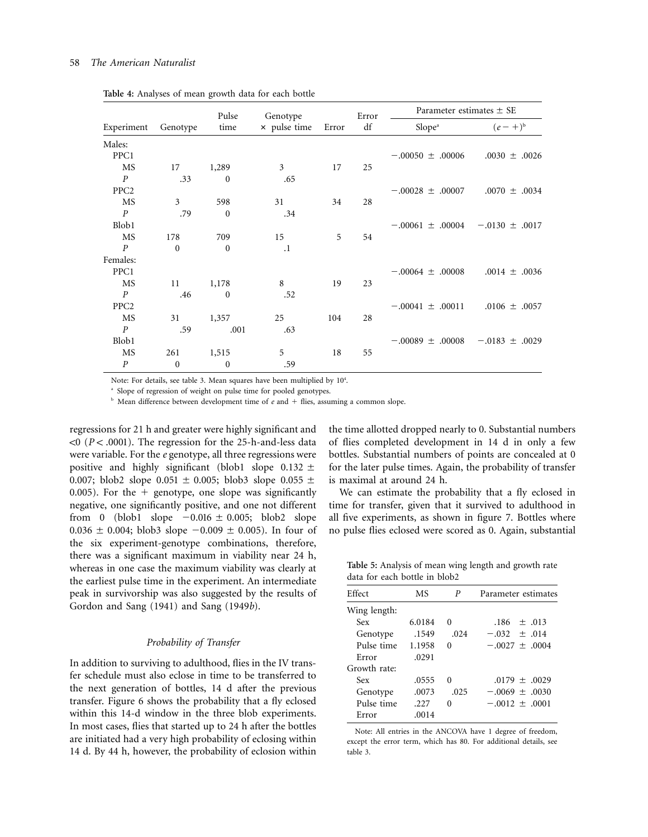|                  |              | Pulse        | Genotype     |       | Error | Parameter estimates $\pm$ SE |                    |
|------------------|--------------|--------------|--------------|-------|-------|------------------------------|--------------------|
| Experiment       | Genotype     | time         | × pulse time | Error | df    | Slope <sup>a</sup>           | $(e - 1)^b$        |
| Males:           |              |              |              |       |       |                              |                    |
| PPC1             |              |              |              |       |       | $-.00050 \pm .00006$         | $.0030 \pm .0026$  |
| MS               | 17           | 1,289        | 3            | 17    | 25    |                              |                    |
| $\boldsymbol{P}$ | .33          | $\mathbf{0}$ | .65          |       |       |                              |                    |
| PPC <sub>2</sub> |              |              |              |       |       | $-.00028 \pm .00007$         | $.0070 \pm .0034$  |
| <b>MS</b>        | 3            | 598          | 31           | 34    | 28    |                              |                    |
| $\boldsymbol{P}$ | .79          | $\mathbf{0}$ | .34          |       |       |                              |                    |
| Blob1            |              |              |              |       |       | $-.00061 \pm .00004$         | $-.0130 \pm .0017$ |
| <b>MS</b>        | 178          | 709          | 15           | 5     | 54    |                              |                    |
| $\boldsymbol{P}$ | $\Omega$     | $\theta$     | $\cdot$ 1    |       |       |                              |                    |
| Females:         |              |              |              |       |       |                              |                    |
| PPC1             |              |              |              |       |       | $-.00064 \pm .00008$         | $.0014 \pm .0036$  |
| <b>MS</b>        | 11           | 1,178        | 8            | 19    | 23    |                              |                    |
| $\boldsymbol{P}$ | .46          | $\mathbf{0}$ | .52          |       |       |                              |                    |
| PPC <sub>2</sub> |              |              |              |       |       | $-.00041 \pm .00011$         | $.0106 \pm .0057$  |
| <b>MS</b>        | 31           | 1,357        | 25           | 104   | 28    |                              |                    |
| $\boldsymbol{P}$ | .59          | .001         | .63          |       |       |                              |                    |
| Blob1            |              |              |              |       |       | $-.00089 \pm .00008$         | $-.0183 \pm .0029$ |
| MS               | 261          | 1,515        | 5            | 18    | 55    |                              |                    |
| $\boldsymbol{P}$ | $\mathbf{0}$ | $\mathbf{0}$ | .59          |       |       |                              |                    |

**Table 4:** Analyses of mean growth data for each bottle

Note: For details, see table 3. Mean squares have been multiplied by 10<sup>4</sup>.

<sup>a</sup> Slope of regression of weight on pulse time for pooled genotypes.

 $\overline{b}$  Mean difference between development time of  $e$  and  $+$  flies, assuming a common slope.

regressions for 21 h and greater were highly significant and  $0$  ( $P$  < .0001). The regression for the 25-h-and-less data were variable. For the *e* genotype, all three regressions were positive and highly significant (blob1 slope  $0.132 \pm$ 0.007; blob2 slope  $0.051 \pm 0.005$ ; blob3 slope  $0.055 \pm 0.007$ ; 0.005). For the  $+$  genotype, one slope was significantly negative, one significantly positive, and one not different from 0 (blob1 slope  $-0.016 \pm 0.005$ ; blob2 slope  $0.036 \pm 0.004$ ; blob3 slope  $-0.009 \pm 0.005$ ). In four of the six experiment-genotype combinations, therefore, there was a significant maximum in viability near 24 h, whereas in one case the maximum viability was clearly at the earliest pulse time in the experiment. An intermediate peak in survivorship was also suggested by the results of Gordon and Sang (1941) and Sang (1949*b*).

## *Probability of Transfer*

In addition to surviving to adulthood, flies in the IV transfer schedule must also eclose in time to be transferred to the next generation of bottles, 14 d after the previous transfer. Figure 6 shows the probability that a fly eclosed within this 14-d window in the three blob experiments. In most cases, flies that started up to 24 h after the bottles are initiated had a very high probability of eclosing within 14 d. By 44 h, however, the probability of eclosion within

the time allotted dropped nearly to 0. Substantial numbers of flies completed development in 14 d in only a few bottles. Substantial numbers of points are concealed at 0 for the later pulse times. Again, the probability of transfer is maximal at around 24 h.

We can estimate the probability that a fly eclosed in time for transfer, given that it survived to adulthood in all five experiments, as shown in figure 7. Bottles where no pulse flies eclosed were scored as 0. Again, substantial

**Table 5:** Analysis of mean wing length and growth rate data for each bottle in blob2

| Effect       | МS     | P        | Parameter estimates |  |  |
|--------------|--------|----------|---------------------|--|--|
| Wing length: |        |          |                     |  |  |
| Sex          | 6.0184 | 0        | $.186 \pm .013$     |  |  |
| Genotype     | .1549  | .024     | $-.032 \pm .014$    |  |  |
| Pulse time   | 1.1958 | 0        | $-.0027 \pm .0004$  |  |  |
| Error        | .0291  |          |                     |  |  |
| Growth rate: |        |          |                     |  |  |
| <b>Sex</b>   | .0555  | $\theta$ | $.0179 \pm .0029$   |  |  |
| Genotype     | .0073  | .025     | $-.0069 \pm .0030$  |  |  |
| Pulse time   | .227   | $\Omega$ | $-.0012 \pm .0001$  |  |  |
| Error        | .0014  |          |                     |  |  |
|              |        |          |                     |  |  |

Note: All entries in the ANCOVA have 1 degree of freedom, except the error term, which has 80. For additional details, see table 3.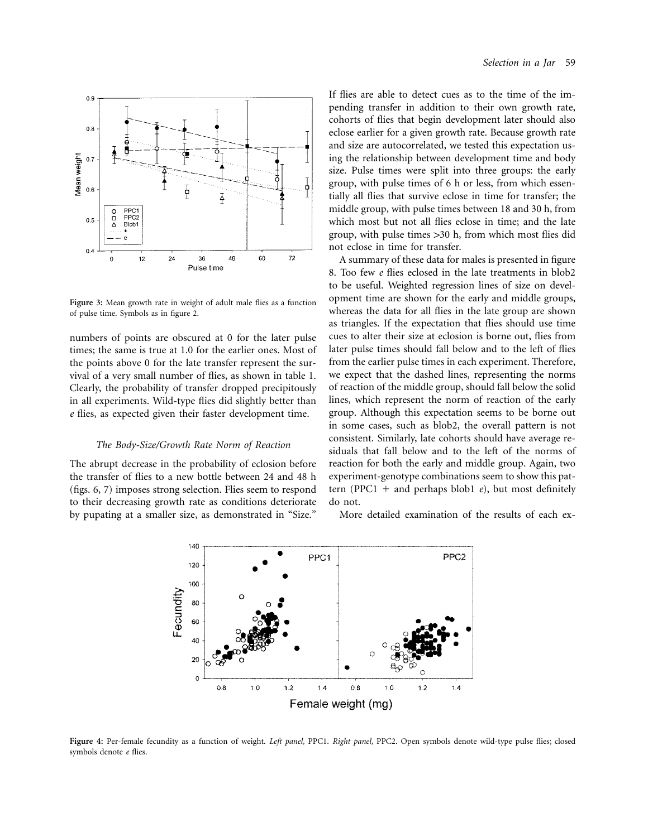

**Figure 3:** Mean growth rate in weight of adult male flies as a function of pulse time. Symbols as in figure 2.

numbers of points are obscured at 0 for the later pulse times; the same is true at 1.0 for the earlier ones. Most of the points above 0 for the late transfer represent the survival of a very small number of flies, as shown in table 1. Clearly, the probability of transfer dropped precipitously in all experiments. Wild-type flies did slightly better than *e* flies, as expected given their faster development time.

#### *The Body-Size/Growth Rate Norm of Reaction*

The abrupt decrease in the probability of eclosion before the transfer of flies to a new bottle between 24 and 48 h (figs. 6, 7) imposes strong selection. Flies seem to respond to their decreasing growth rate as conditions deteriorate by pupating at a smaller size, as demonstrated in "Size."

If flies are able to detect cues as to the time of the impending transfer in addition to their own growth rate, cohorts of flies that begin development later should also eclose earlier for a given growth rate. Because growth rate and size are autocorrelated, we tested this expectation using the relationship between development time and body size. Pulse times were split into three groups: the early group, with pulse times of 6 h or less, from which essentially all flies that survive eclose in time for transfer; the middle group, with pulse times between 18 and 30 h, from which most but not all flies eclose in time; and the late group, with pulse times  $>30$  h, from which most flies did not eclose in time for transfer.

A summary of these data for males is presented in figure 8. Too few *e* flies eclosed in the late treatments in blob2 to be useful. Weighted regression lines of size on development time are shown for the early and middle groups, whereas the data for all flies in the late group are shown as triangles. If the expectation that flies should use time cues to alter their size at eclosion is borne out, flies from later pulse times should fall below and to the left of flies from the earlier pulse times in each experiment. Therefore, we expect that the dashed lines, representing the norms of reaction of the middle group, should fall below the solid lines, which represent the norm of reaction of the early group. Although this expectation seems to be borne out in some cases, such as blob2, the overall pattern is not consistent. Similarly, late cohorts should have average residuals that fall below and to the left of the norms of reaction for both the early and middle group. Again, two experiment-genotype combinations seem to show this pattern (PPC1  $+$  and perhaps blob1  $e$ ), but most definitely do not.

More detailed examination of the results of each ex-



**Figure 4:** Per-female fecundity as a function of weight. *Left panel*, PPC1. *Right panel*, PPC2. Open symbols denote wild-type pulse flies; closed symbols denote *e* flies.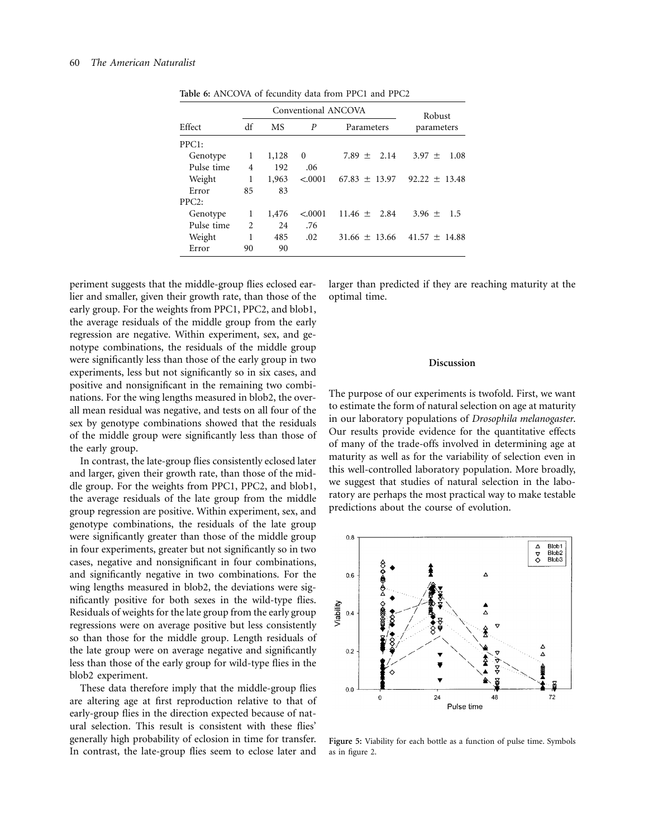|            |                | Conventional ANCOVA | Robust   |                    |                    |  |
|------------|----------------|---------------------|----------|--------------------|--------------------|--|
| Effect     | df             | MS                  | P        | Parameters         | parameters         |  |
| PPC1:      |                |                     |          |                    |                    |  |
| Genotype   | 1              | 1,128               | $\theta$ | 7.89 $\pm$<br>2.14 | 1.08<br>$3.97 \pm$ |  |
| Pulse time | 4              | 192                 | .06      |                    |                    |  |
| Weight     | 1              | 1,963               | < .0001  | $67.83 \pm 13.97$  | $92.22 \pm 13.48$  |  |
| Error      | 85             | 83                  |          |                    |                    |  |
| PPC2:      |                |                     |          |                    |                    |  |
| Genotype   | 1              | 1,476               | < .0001  | $11.46 \pm 2.84$   | $3.96 \pm$<br>-1.5 |  |
| Pulse time | $\mathfrak{D}$ | 24                  | .76      |                    |                    |  |
| Weight     | 1              | 485                 | .02      | $31.66 \pm 13.66$  | $41.57 \pm 14.88$  |  |
| Error      | 90             | 90                  |          |                    |                    |  |

**Table 6:** ANCOVA of fecundity data from PPC1 and PPC2

periment suggests that the middle-group flies eclosed earlier and smaller, given their growth rate, than those of the early group. For the weights from PPC1, PPC2, and blob1, the average residuals of the middle group from the early regression are negative. Within experiment, sex, and genotype combinations, the residuals of the middle group were significantly less than those of the early group in two experiments, less but not significantly so in six cases, and positive and nonsignificant in the remaining two combinations. For the wing lengths measured in blob2, the overall mean residual was negative, and tests on all four of the sex by genotype combinations showed that the residuals of the middle group were significantly less than those of the early group.

In contrast, the late-group flies consistently eclosed later and larger, given their growth rate, than those of the middle group. For the weights from PPC1, PPC2, and blob1, the average residuals of the late group from the middle group regression are positive. Within experiment, sex, and genotype combinations, the residuals of the late group were significantly greater than those of the middle group in four experiments, greater but not significantly so in two cases, negative and nonsignificant in four combinations, and significantly negative in two combinations. For the wing lengths measured in blob2, the deviations were significantly positive for both sexes in the wild-type flies. Residuals of weights for the late group from the early group regressions were on average positive but less consistently so than those for the middle group. Length residuals of the late group were on average negative and significantly less than those of the early group for wild-type flies in the blob2 experiment.

These data therefore imply that the middle-group flies are altering age at first reproduction relative to that of early-group flies in the direction expected because of natural selection. This result is consistent with these flies' generally high probability of eclosion in time for transfer. In contrast, the late-group flies seem to eclose later and larger than predicted if they are reaching maturity at the optimal time.

#### **Discussion**

The purpose of our experiments is twofold. First, we want to estimate the form of natural selection on age at maturity in our laboratory populations of *Drosophila melanogaster*. Our results provide evidence for the quantitative effects of many of the trade-offs involved in determining age at maturity as well as for the variability of selection even in this well-controlled laboratory population. More broadly, we suggest that studies of natural selection in the laboratory are perhaps the most practical way to make testable predictions about the course of evolution.



**Figure 5:** Viability for each bottle as a function of pulse time. Symbols as in figure 2.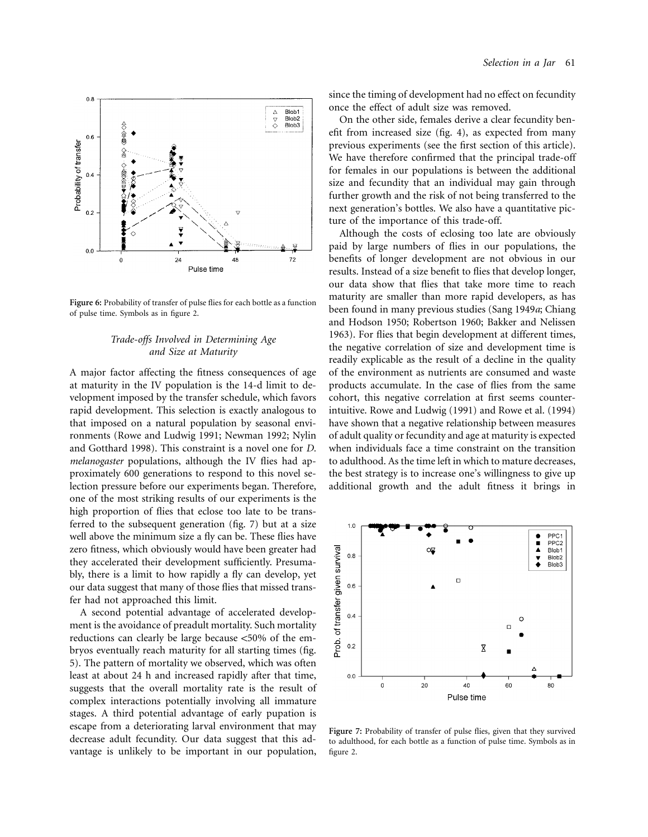

**Figure 6:** Probability of transfer of pulse flies for each bottle as a function of pulse time. Symbols as in figure 2.

## *Trade-offs Involved in Determining Age and Size at Maturity*

A major factor affecting the fitness consequences of age at maturity in the IV population is the 14-d limit to development imposed by the transfer schedule, which favors rapid development. This selection is exactly analogous to that imposed on a natural population by seasonal environments (Rowe and Ludwig 1991; Newman 1992; Nylin and Gotthard 1998). This constraint is a novel one for *D. melanogaster* populations, although the IV flies had approximately 600 generations to respond to this novel selection pressure before our experiments began. Therefore, one of the most striking results of our experiments is the high proportion of flies that eclose too late to be transferred to the subsequent generation (fig. 7) but at a size well above the minimum size a fly can be. These flies have zero fitness, which obviously would have been greater had they accelerated their development sufficiently. Presumably, there is a limit to how rapidly a fly can develop, yet our data suggest that many of those flies that missed transfer had not approached this limit.

A second potential advantage of accelerated development is the avoidance of preadult mortality. Such mortality reductions can clearly be large because <50% of the embryos eventually reach maturity for all starting times (fig. 5). The pattern of mortality we observed, which was often least at about 24 h and increased rapidly after that time, suggests that the overall mortality rate is the result of complex interactions potentially involving all immature stages. A third potential advantage of early pupation is escape from a deteriorating larval environment that may decrease adult fecundity. Our data suggest that this advantage is unlikely to be important in our population, since the timing of development had no effect on fecundity once the effect of adult size was removed.

On the other side, females derive a clear fecundity benefit from increased size (fig. 4), as expected from many previous experiments (see the first section of this article). We have therefore confirmed that the principal trade-off for females in our populations is between the additional size and fecundity that an individual may gain through further growth and the risk of not being transferred to the next generation's bottles. We also have a quantitative picture of the importance of this trade-off.

Although the costs of eclosing too late are obviously paid by large numbers of flies in our populations, the benefits of longer development are not obvious in our results. Instead of a size benefit to flies that develop longer, our data show that flies that take more time to reach maturity are smaller than more rapid developers, as has been found in many previous studies (Sang 1949*a*; Chiang and Hodson 1950; Robertson 1960; Bakker and Nelissen 1963). For flies that begin development at different times, the negative correlation of size and development time is readily explicable as the result of a decline in the quality of the environment as nutrients are consumed and waste products accumulate. In the case of flies from the same cohort, this negative correlation at first seems counterintuitive. Rowe and Ludwig (1991) and Rowe et al. (1994) have shown that a negative relationship between measures of adult quality or fecundity and age at maturity is expected when individuals face a time constraint on the transition to adulthood. As the time left in which to mature decreases, the best strategy is to increase one's willingness to give up additional growth and the adult fitness it brings in



Figure 7: Probability of transfer of pulse flies, given that they survived to adulthood, for each bottle as a function of pulse time. Symbols as in figure 2.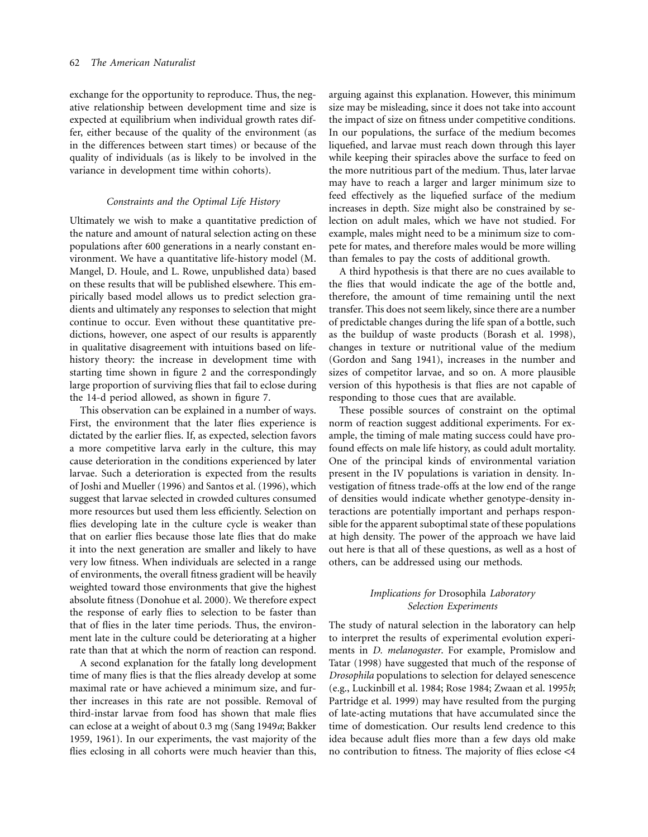exchange for the opportunity to reproduce. Thus, the negative relationship between development time and size is expected at equilibrium when individual growth rates differ, either because of the quality of the environment (as in the differences between start times) or because of the quality of individuals (as is likely to be involved in the variance in development time within cohorts).

## *Constraints and the Optimal Life History*

Ultimately we wish to make a quantitative prediction of the nature and amount of natural selection acting on these populations after 600 generations in a nearly constant environment. We have a quantitative life-history model (M. Mangel, D. Houle, and L. Rowe, unpublished data) based on these results that will be published elsewhere. This empirically based model allows us to predict selection gradients and ultimately any responses to selection that might continue to occur. Even without these quantitative predictions, however, one aspect of our results is apparently in qualitative disagreement with intuitions based on lifehistory theory: the increase in development time with starting time shown in figure 2 and the correspondingly large proportion of surviving flies that fail to eclose during the 14-d period allowed, as shown in figure 7.

This observation can be explained in a number of ways. First, the environment that the later flies experience is dictated by the earlier flies. If, as expected, selection favors a more competitive larva early in the culture, this may cause deterioration in the conditions experienced by later larvae. Such a deterioration is expected from the results of Joshi and Mueller (1996) and Santos et al. (1996), which suggest that larvae selected in crowded cultures consumed more resources but used them less efficiently. Selection on flies developing late in the culture cycle is weaker than that on earlier flies because those late flies that do make it into the next generation are smaller and likely to have very low fitness. When individuals are selected in a range of environments, the overall fitness gradient will be heavily weighted toward those environments that give the highest absolute fitness (Donohue et al. 2000). We therefore expect the response of early flies to selection to be faster than that of flies in the later time periods. Thus, the environment late in the culture could be deteriorating at a higher rate than that at which the norm of reaction can respond.

A second explanation for the fatally long development time of many flies is that the flies already develop at some maximal rate or have achieved a minimum size, and further increases in this rate are not possible. Removal of third-instar larvae from food has shown that male flies can eclose at a weight of about 0.3 mg (Sang 1949*a*; Bakker 1959, 1961). In our experiments, the vast majority of the flies eclosing in all cohorts were much heavier than this,

arguing against this explanation. However, this minimum size may be misleading, since it does not take into account the impact of size on fitness under competitive conditions. In our populations, the surface of the medium becomes liquefied, and larvae must reach down through this layer while keeping their spiracles above the surface to feed on the more nutritious part of the medium. Thus, later larvae may have to reach a larger and larger minimum size to feed effectively as the liquefied surface of the medium increases in depth. Size might also be constrained by selection on adult males, which we have not studied. For example, males might need to be a minimum size to compete for mates, and therefore males would be more willing than females to pay the costs of additional growth.

A third hypothesis is that there are no cues available to the flies that would indicate the age of the bottle and, therefore, the amount of time remaining until the next transfer. This does not seem likely, since there are a number of predictable changes during the life span of a bottle, such as the buildup of waste products (Borash et al. 1998), changes in texture or nutritional value of the medium (Gordon and Sang 1941), increases in the number and sizes of competitor larvae, and so on. A more plausible version of this hypothesis is that flies are not capable of responding to those cues that are available.

These possible sources of constraint on the optimal norm of reaction suggest additional experiments. For example, the timing of male mating success could have profound effects on male life history, as could adult mortality. One of the principal kinds of environmental variation present in the IV populations is variation in density. Investigation of fitness trade-offs at the low end of the range of densities would indicate whether genotype-density interactions are potentially important and perhaps responsible for the apparent suboptimal state of these populations at high density. The power of the approach we have laid out here is that all of these questions, as well as a host of others, can be addressed using our methods.

# *Implications for* Drosophila *Laboratory Selection Experiments*

The study of natural selection in the laboratory can help to interpret the results of experimental evolution experiments in *D. melanogaster*. For example, Promislow and Tatar (1998) have suggested that much of the response of *Drosophila* populations to selection for delayed senescence (e.g., Luckinbill et al. 1984; Rose 1984; Zwaan et al. 1995*b*; Partridge et al. 1999) may have resulted from the purging of late-acting mutations that have accumulated since the time of domestication. Our results lend credence to this idea because adult flies more than a few days old make no contribution to fitness. The majority of flies eclose  $<4$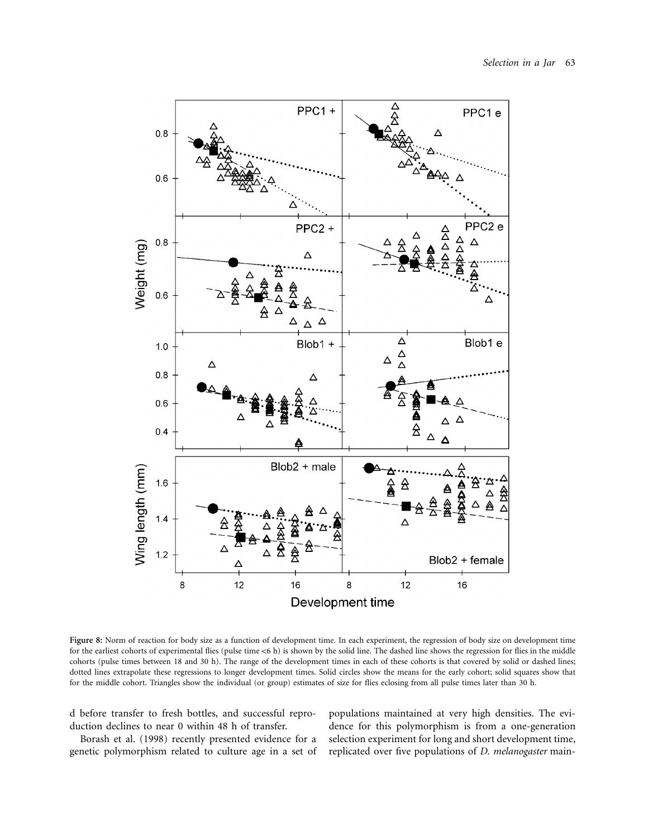

**Figure 8:** Norm of reaction for body size as a function of development time. In each experiment, the regression of body size on development time for the earliest cohorts of experimental flies (pulse time  $<$ 6 h) is shown by the solid line. The dashed line shows the regression for flies in the middle cohorts (pulse times between 18 and 30 h). The range of the development times in each of these cohorts is that covered by solid or dashed lines; dotted lines extrapolate these regressions to longer development times. Solid circles show the means for the early cohort; solid squares show that for the middle cohort. Triangles show the individual (or group) estimates of size for flies eclosing from all pulse times later than 30 h.

d before transfer to fresh bottles, and successful reproduction declines to near 0 within 48 h of transfer.

Borash et al. (1998) recently presented evidence for a genetic polymorphism related to culture age in a set of populations maintained at very high densities. The evidence for this polymorphism is from a one-generation selection experiment for long and short development time, replicated over five populations of *D. melanogaster* main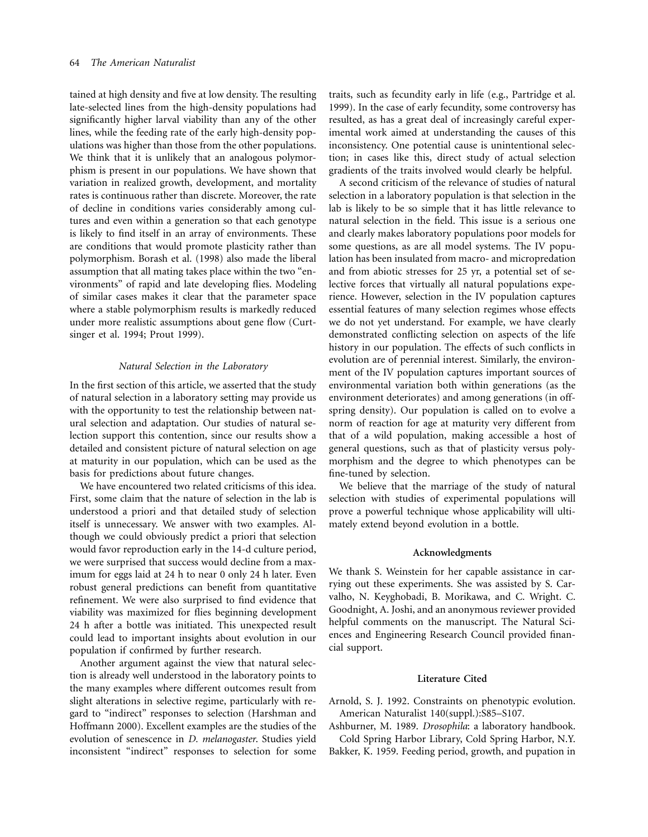tained at high density and five at low density. The resulting late-selected lines from the high-density populations had significantly higher larval viability than any of the other lines, while the feeding rate of the early high-density populations was higher than those from the other populations. We think that it is unlikely that an analogous polymorphism is present in our populations. We have shown that variation in realized growth, development, and mortality rates is continuous rather than discrete. Moreover, the rate of decline in conditions varies considerably among cultures and even within a generation so that each genotype is likely to find itself in an array of environments. These are conditions that would promote plasticity rather than polymorphism. Borash et al. (1998) also made the liberal assumption that all mating takes place within the two "environments" of rapid and late developing flies. Modeling of similar cases makes it clear that the parameter space where a stable polymorphism results is markedly reduced under more realistic assumptions about gene flow (Curtsinger et al. 1994; Prout 1999).

## *Natural Selection in the Laboratory*

In the first section of this article, we asserted that the study of natural selection in a laboratory setting may provide us with the opportunity to test the relationship between natural selection and adaptation. Our studies of natural selection support this contention, since our results show a detailed and consistent picture of natural selection on age at maturity in our population, which can be used as the basis for predictions about future changes.

We have encountered two related criticisms of this idea. First, some claim that the nature of selection in the lab is understood a priori and that detailed study of selection itself is unnecessary. We answer with two examples. Although we could obviously predict a priori that selection would favor reproduction early in the 14-d culture period, we were surprised that success would decline from a maximum for eggs laid at 24 h to near 0 only 24 h later. Even robust general predictions can benefit from quantitative refinement. We were also surprised to find evidence that viability was maximized for flies beginning development 24 h after a bottle was initiated. This unexpected result could lead to important insights about evolution in our population if confirmed by further research.

Another argument against the view that natural selection is already well understood in the laboratory points to the many examples where different outcomes result from slight alterations in selective regime, particularly with regard to "indirect" responses to selection (Harshman and Hoffmann 2000). Excellent examples are the studies of the evolution of senescence in *D. melanogaster*. Studies yield inconsistent "indirect" responses to selection for some

traits, such as fecundity early in life (e.g., Partridge et al. 1999). In the case of early fecundity, some controversy has resulted, as has a great deal of increasingly careful experimental work aimed at understanding the causes of this inconsistency. One potential cause is unintentional selection; in cases like this, direct study of actual selection gradients of the traits involved would clearly be helpful.

A second criticism of the relevance of studies of natural selection in a laboratory population is that selection in the lab is likely to be so simple that it has little relevance to natural selection in the field. This issue is a serious one and clearly makes laboratory populations poor models for some questions, as are all model systems. The IV population has been insulated from macro- and micropredation and from abiotic stresses for 25 yr, a potential set of selective forces that virtually all natural populations experience. However, selection in the IV population captures essential features of many selection regimes whose effects we do not yet understand. For example, we have clearly demonstrated conflicting selection on aspects of the life history in our population. The effects of such conflicts in evolution are of perennial interest. Similarly, the environment of the IV population captures important sources of environmental variation both within generations (as the environment deteriorates) and among generations (in offspring density). Our population is called on to evolve a norm of reaction for age at maturity very different from that of a wild population, making accessible a host of general questions, such as that of plasticity versus polymorphism and the degree to which phenotypes can be fine-tuned by selection.

We believe that the marriage of the study of natural selection with studies of experimental populations will prove a powerful technique whose applicability will ultimately extend beyond evolution in a bottle.

## **Acknowledgments**

We thank S. Weinstein for her capable assistance in carrying out these experiments. She was assisted by S. Carvalho, N. Keyghobadi, B. Morikawa, and C. Wright. C. Goodnight, A. Joshi, and an anonymous reviewer provided helpful comments on the manuscript. The Natural Sciences and Engineering Research Council provided financial support.

# **Literature Cited**

Arnold, S. J. 1992. Constraints on phenotypic evolution. American Naturalist 140(suppl.):S85–S107.

Ashburner, M. 1989. *Drosophila*: a laboratory handbook. Cold Spring Harbor Library, Cold Spring Harbor, N.Y.

Bakker, K. 1959. Feeding period, growth, and pupation in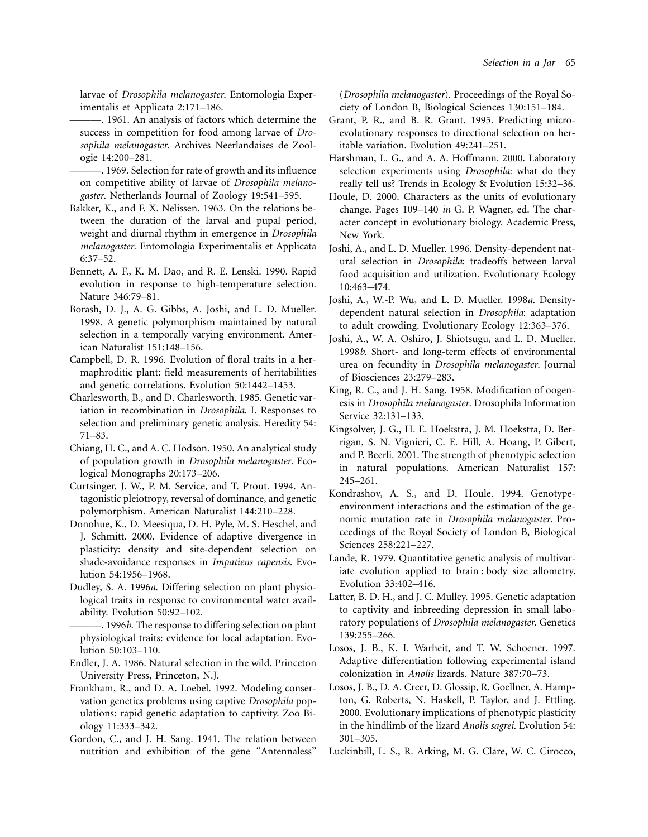larvae of *Drosophila melanogaster*. Entomologia Experimentalis et Applicata 2:171–186.

- ———. 1961. An analysis of factors which determine the success in competition for food among larvae of *Drosophila melanogaster*. Archives Neerlandaises de Zoologie 14:200–281.
- ———. 1969. Selection for rate of growth and its influence on competitive ability of larvae of *Drosophila melanogaster*. Netherlands Journal of Zoology 19:541–595.
- Bakker, K., and F. X. Nelissen. 1963. On the relations between the duration of the larval and pupal period, weight and diurnal rhythm in emergence in *Drosophila melanogaster*. Entomologia Experimentalis et Applicata 6:37–52.
- Bennett, A. F., K. M. Dao, and R. E. Lenski. 1990. Rapid evolution in response to high-temperature selection. Nature 346:79–81.
- Borash, D. J., A. G. Gibbs, A. Joshi, and L. D. Mueller. 1998. A genetic polymorphism maintained by natural selection in a temporally varying environment. American Naturalist 151:148–156.
- Campbell, D. R. 1996. Evolution of floral traits in a hermaphroditic plant: field measurements of heritabilities and genetic correlations. Evolution 50:1442–1453.
- Charlesworth, B., and D. Charlesworth. 1985. Genetic variation in recombination in *Drosophila*. I. Responses to selection and preliminary genetic analysis. Heredity 54: 71–83.
- Chiang, H. C., and A. C. Hodson. 1950. An analytical study of population growth in *Drosophila melanogaster*. Ecological Monographs 20:173–206.
- Curtsinger, J. W., P. M. Service, and T. Prout. 1994. Antagonistic pleiotropy, reversal of dominance, and genetic polymorphism. American Naturalist 144:210–228.
- Donohue, K., D. Meesiqua, D. H. Pyle, M. S. Heschel, and J. Schmitt. 2000. Evidence of adaptive divergence in plasticity: density and site-dependent selection on shade-avoidance responses in *Impatiens capensis*. Evolution 54:1956–1968.
- Dudley, S. A. 1996*a*. Differing selection on plant physiological traits in response to environmental water availability. Evolution 50:92–102.

-. 1996*b*. The response to differing selection on plant physiological traits: evidence for local adaptation. Evolution 50:103–110.

- Endler, J. A. 1986. Natural selection in the wild. Princeton University Press, Princeton, N.J.
- Frankham, R., and D. A. Loebel. 1992. Modeling conservation genetics problems using captive *Drosophila* populations: rapid genetic adaptation to captivity. Zoo Biology 11:333–342.
- Gordon, C., and J. H. Sang. 1941. The relation between nutrition and exhibition of the gene "Antennaless"

(*Drosophila melanogaster*). Proceedings of the Royal Society of London B, Biological Sciences 130:151–184.

- Grant, P. R., and B. R. Grant. 1995. Predicting microevolutionary responses to directional selection on heritable variation. Evolution 49:241–251.
- Harshman, L. G., and A. A. Hoffmann. 2000. Laboratory selection experiments using *Drosophila*: what do they really tell us? Trends in Ecology & Evolution 15:32–36.
- Houle, D. 2000. Characters as the units of evolutionary change. Pages 109–140 *in* G. P. Wagner, ed. The character concept in evolutionary biology. Academic Press, New York.
- Joshi, A., and L. D. Mueller. 1996. Density-dependent natural selection in *Drosophila*: tradeoffs between larval food acquisition and utilization. Evolutionary Ecology 10:463–474.
- Joshi, A., W.-P. Wu, and L. D. Mueller. 1998*a*. Densitydependent natural selection in *Drosophila*: adaptation to adult crowding. Evolutionary Ecology 12:363–376.
- Joshi, A., W. A. Oshiro, J. Shiotsugu, and L. D. Mueller. 1998*b*. Short- and long-term effects of environmental urea on fecundity in *Drosophila melanogaster*. Journal of Biosciences 23:279–283.
- King, R. C., and J. H. Sang. 1958. Modification of oogenesis in *Drosophila melanogaster*. Drosophila Information Service 32:131–133.
- Kingsolver, J. G., H. E. Hoekstra, J. M. Hoekstra, D. Berrigan, S. N. Vignieri, C. E. Hill, A. Hoang, P. Gibert, and P. Beerli. 2001. The strength of phenotypic selection in natural populations. American Naturalist 157: 245–261.
- Kondrashov, A. S., and D. Houle. 1994. Genotypeenvironment interactions and the estimation of the genomic mutation rate in *Drosophila melanogaster*. Proceedings of the Royal Society of London B, Biological Sciences 258:221–227.
- Lande, R. 1979. Quantitative genetic analysis of multivariate evolution applied to brain : body size allometry. Evolution 33:402–416.
- Latter, B. D. H., and J. C. Mulley. 1995. Genetic adaptation to captivity and inbreeding depression in small laboratory populations of *Drosophila melanogaster*. Genetics 139:255–266.
- Losos, J. B., K. I. Warheit, and T. W. Schoener. 1997. Adaptive differentiation following experimental island colonization in *Anolis* lizards. Nature 387:70–73.
- Losos, J. B., D. A. Creer, D. Glossip, R. Goellner, A. Hampton, G. Roberts, N. Haskell, P. Taylor, and J. Ettling. 2000. Evolutionary implications of phenotypic plasticity in the hindlimb of the lizard *Anolis sagrei*. Evolution 54: 301–305.
- Luckinbill, L. S., R. Arking, M. G. Clare, W. C. Cirocco,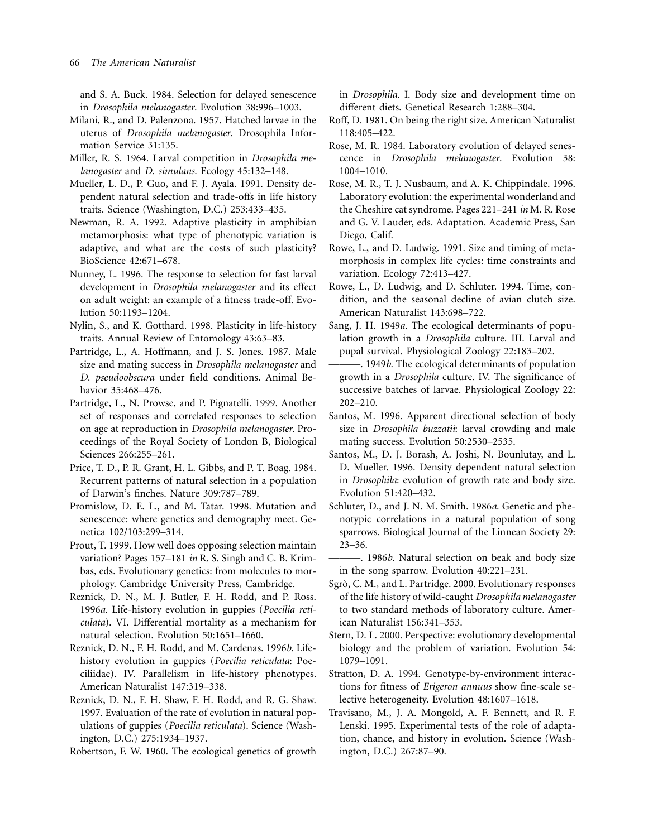and S. A. Buck. 1984. Selection for delayed senescence in *Drosophila melanogaster*. Evolution 38:996–1003.

- Milani, R., and D. Palenzona. 1957. Hatched larvae in the uterus of *Drosophila melanogaster*. Drosophila Information Service 31:135.
- Miller, R. S. 1964. Larval competition in *Drosophila melanogaster* and *D. simulans*. Ecology 45:132–148.
- Mueller, L. D., P. Guo, and F. J. Ayala. 1991. Density dependent natural selection and trade-offs in life history traits. Science (Washington, D.C.) 253:433–435.
- Newman, R. A. 1992. Adaptive plasticity in amphibian metamorphosis: what type of phenotypic variation is adaptive, and what are the costs of such plasticity? BioScience 42:671–678.
- Nunney, L. 1996. The response to selection for fast larval development in *Drosophila melanogaster* and its effect on adult weight: an example of a fitness trade-off. Evolution 50:1193–1204.
- Nylin, S., and K. Gotthard. 1998. Plasticity in life-history traits. Annual Review of Entomology 43:63–83.
- Partridge, L., A. Hoffmann, and J. S. Jones. 1987. Male size and mating success in *Drosophila melanogaster* and *D. pseudoobscura* under field conditions. Animal Behavior 35:468–476.
- Partridge, L., N. Prowse, and P. Pignatelli. 1999. Another set of responses and correlated responses to selection on age at reproduction in *Drosophila melanogaster*. Proceedings of the Royal Society of London B, Biological Sciences 266:255–261.
- Price, T. D., P. R. Grant, H. L. Gibbs, and P. T. Boag. 1984. Recurrent patterns of natural selection in a population of Darwin's finches. Nature 309:787–789.
- Promislow, D. E. L., and M. Tatar. 1998. Mutation and senescence: where genetics and demography meet. Genetica 102/103:299–314.
- Prout, T. 1999. How well does opposing selection maintain variation? Pages 157–181 *in* R. S. Singh and C. B. Krimbas, eds. Evolutionary genetics: from molecules to morphology. Cambridge University Press, Cambridge.
- Reznick, D. N., M. J. Butler, F. H. Rodd, and P. Ross. 1996*a*. Life-history evolution in guppies (*Poecilia reticulata*). VI. Differential mortality as a mechanism for natural selection. Evolution 50:1651–1660.
- Reznick, D. N., F. H. Rodd, and M. Cardenas. 1996*b*. Lifehistory evolution in guppies (*Poecilia reticulata*: Poeciliidae). IV. Parallelism in life-history phenotypes. American Naturalist 147:319–338.
- Reznick, D. N., F. H. Shaw, F. H. Rodd, and R. G. Shaw. 1997. Evaluation of the rate of evolution in natural populations of guppies (*Poecilia reticulata*). Science (Washington, D.C.) 275:1934–1937.
- Robertson, F. W. 1960. The ecological genetics of growth

in *Drosophila*. I. Body size and development time on different diets. Genetical Research 1:288–304.

- Roff, D. 1981. On being the right size. American Naturalist 118:405–422.
- Rose, M. R. 1984. Laboratory evolution of delayed senescence in *Drosophila melanogaster*. Evolution 38: 1004–1010.
- Rose, M. R., T. J. Nusbaum, and A. K. Chippindale. 1996. Laboratory evolution: the experimental wonderland and the Cheshire cat syndrome. Pages 221–241 *in* M. R. Rose and G. V. Lauder, eds. Adaptation. Academic Press, San Diego, Calif.
- Rowe, L., and D. Ludwig. 1991. Size and timing of metamorphosis in complex life cycles: time constraints and variation. Ecology 72:413–427.
- Rowe, L., D. Ludwig, and D. Schluter. 1994. Time, condition, and the seasonal decline of avian clutch size. American Naturalist 143:698–722.
- Sang, J. H. 1949*a*. The ecological determinants of population growth in a *Drosophila* culture. III. Larval and pupal survival. Physiological Zoology 22:183–202.
- ———. 1949*b*. The ecological determinants of population growth in a *Drosophila* culture. IV. The significance of successive batches of larvae. Physiological Zoology 22: 202–210.
- Santos, M. 1996. Apparent directional selection of body size in *Drosophila buzzatii*: larval crowding and male mating success. Evolution 50:2530–2535.
- Santos, M., D. J. Borash, A. Joshi, N. Bounlutay, and L. D. Mueller. 1996. Density dependent natural selection in *Drosophila*: evolution of growth rate and body size. Evolution 51:420–432.
- Schluter, D., and J. N. M. Smith. 1986*a*. Genetic and phenotypic correlations in a natural population of song sparrows. Biological Journal of the Linnean Society 29: 23–36.
- -. 1986*b*. Natural selection on beak and body size in the song sparrow. Evolution 40:221–231.
- Sgrò, C. M., and L. Partridge. 2000. Evolutionary responses of the life history of wild-caught *Drosophila melanogaster* to two standard methods of laboratory culture. American Naturalist 156:341–353.
- Stern, D. L. 2000. Perspective: evolutionary developmental biology and the problem of variation. Evolution 54: 1079–1091.
- Stratton, D. A. 1994. Genotype-by-environment interactions for fitness of *Erigeron annuus* show fine-scale selective heterogeneity. Evolution 48:1607–1618.
- Travisano, M., J. A. Mongold, A. F. Bennett, and R. F. Lenski. 1995. Experimental tests of the role of adaptation, chance, and history in evolution. Science (Washington, D.C.) 267:87–90.